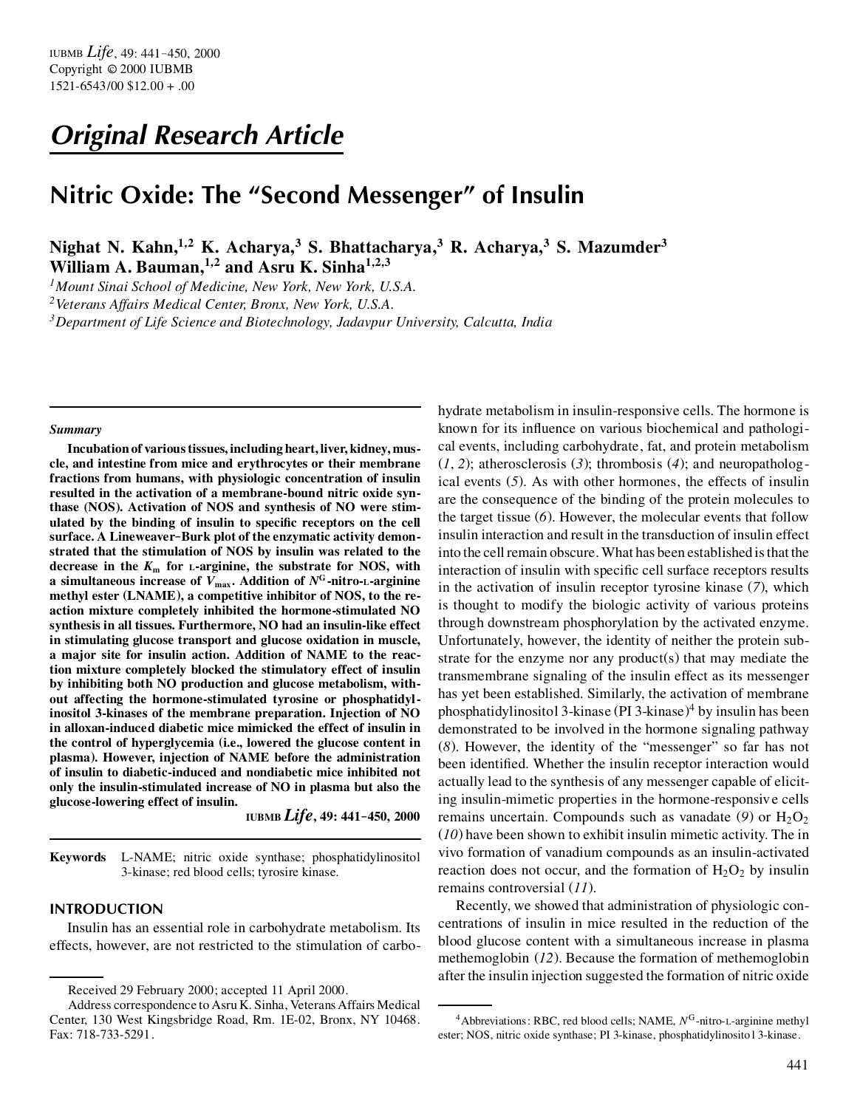# *Original Research Article*

# **Nitric Oxide: The "Second Messenger" of Insulin**

**Nighat N. Kahn,<sup>1</sup>***,***<sup>2</sup> K. Acharya,<sup>3</sup> S. Bhattacharya,<sup>3</sup> R. Acharya,<sup>3</sup> S. Mazumder<sup>3</sup> William A. Bauman,<sup>1</sup>***,***<sup>2</sup> and Asru K. Sinha<sup>1</sup>***,***2***,***<sup>3</sup>**

*<sup>1</sup>Mount Sinai School of Medicine, New York, New York, U.S.A.*

*<sup>2</sup>Veterans Affairs Medical Center, Bronx, New York, U.S.A.*

*<sup>3</sup>Department of Life Science and Biotechnology, Jadavpur University, Calcutta, India*

#### *Summary*

**Incubation of various tissues, including heart, liver, kidney, muscle, and intestine from mice and erythrocytes or their membrane fractions from humans, with physiologic concentration of insulin resulted in the activation of a membrane-bound nitric oxide synthase (NOS). Activation of NOS and synthesis of NO were stim**ulated by the binding of insulin to specific receptors on the cell **surface. A Lineweaver–Burk plot of the enzymatic activity demonstrated that the stimulation of NOS by insulin was related to the decrease in the** *K***<sup>m</sup> for <sup>L</sup>-arginine, the substrate for NOS, with a** simultaneous increase of  $V_{\text{max}}$ . Addition of  $N^{\text{G}}$  -nitro- $\text{L}$ -arginine **methyl ester (LNAME), a competitive inhibitor of NOS, to the reaction mixture completely inhibited the hormone-stimulated NO synthesis in all tissues. Furthermore, NO had an insulin-like effect in stimulating glucose transport and glucose oxidation in muscle, a major site for insulin action. Addition of NAME to the reaction mixture completely blocked the stimulatory effect of insulin by inhibiting both NO production and glucose metabolism, without affecting the hormone-stimulated tyrosine or phosphatidylinositol 3-kinases of the membrane preparation. Injection of NO in alloxan-induced diabetic mice mimicked the effect of insulin in the control of hyperglycemia (i.e., lowered the glucose content in plasma). However, injection of NAME before the administration of insulin to diabetic-induced and nondiabetic mice inhibited not only the insulin-stimulated increase of NO in plasma but also the glucose-lowering effect of insulin.**

**IUBMB** *Life***, 49: 441–450, 2000**

**Keywords** L-NAME; nitric oxide synthase; phosphatidylinositol 3-kinase; red blood cells; tyrosire kinase.

# **INTRODUCTION**

Insulin has an essential role in carbohydrate metabolism. Its effects, however, are not restricted to the stimulation of carbohydrate metabolism in insulin-responsive cells. The hormone is known for its influence on various biochemical and pathological events, including carbohydrate, fat, and protein metabolism  $(1, 2)$ ; atherosclerosis  $(3)$ ; thrombosis  $(4)$ ; and neuropathological events (*5*). As with other hormones, the effects of insulin are the consequence of the binding of the protein molecules to the target tissue (*6*). However, the molecular events that follow insulin interaction and result in the transduction of insulin effect into the cell remain obscure. What has been established is that the interaction of insulin with specific cell surface receptors results in the activation of insulin receptor tyrosine kinase (*7*), which is thought to modify the biologic activity of various proteins through downstream phosphorylation by the activated enzyme. Unfortunately, however, the identity of neither the protein substrate for the enzyme nor any product(s) that may mediate the transmembrane signaling of the insulin effect as its messenger has yet been established. Similarly, the activation of membrane phosphatidylinositol 3-kinase (PI 3-kinase) <sup>4</sup> by insulin has been demonstrated to be involved in the hormone signaling pathway (*8*). However, the identity of the "messenger" so far has not been identified. Whether the insulin receptor interaction would actually lead to the synthesis of any messenger capable of eliciting insulin-mimetic properties in the hormone-responsive cells remains uncertain. Compounds such as vanadate  $(9)$  or  $H_2O_2$ (*10*) have been shown to exhibit insulin mimetic activity. The in vivo formation of vanadium compounds as an insulin-activated reaction does not occur, and the formation of  $H_2O_2$  by insulin remains controversial (*11*).

Recently, we showed that administration of physiologic concentrations of insulin in mice resulted in the reduction of the blood glucose content with a simultaneous increase in plasma methemoglobin (*12*). Because the formation of methemoglobin after the insulin injection suggested the formation of nitric oxide

Received 29 February 2000; accepted 11 April 2000.

Address correspondence to Asru K. Sinha, Veterans Affairs Medical Center, 130 West Kingsbridge Road, Rm. 1E-02, Bronx, NY 10468. Fax: 718-733-5291.

<sup>&</sup>lt;sup>4</sup> Abbreviations: RBC, red blood cells; NAME, N<sup>G</sup>-nitro-L-arginine methyl ester; NOS, nitric oxide synthase; PI 3-kinase, phosphatidylinosito l 3-kinase.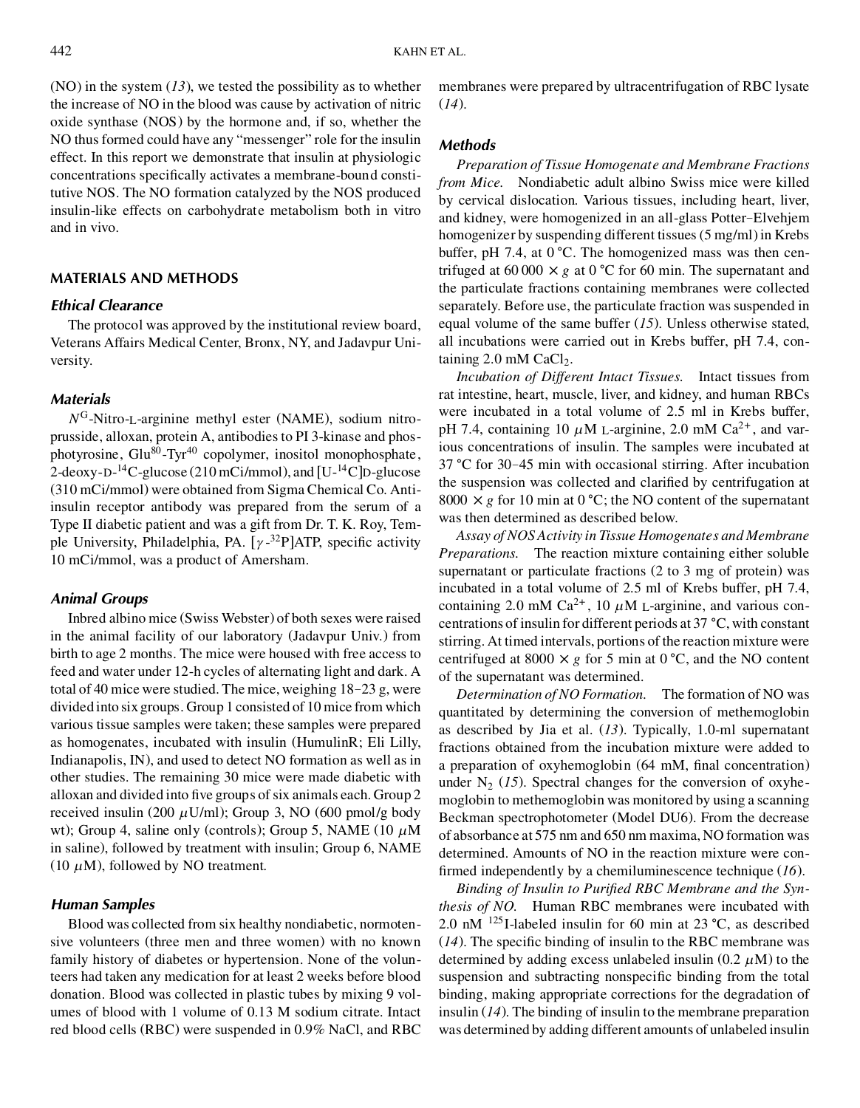(NO) in the system (*13*), we tested the possibility as to whether the increase of NO in the blood was cause by activation of nitric oxide synthase (NOS) by the hormone and, if so, whether the NO thus formed could have any "messenger" role for the insulin effect. In this report we demonstrate that insulin at physiologic concentrations specifically activates a membrane-bound constitutive NOS. The NO formation catalyzed by the NOS produced insulin-like effects on carbohydrate metabolism both in vitro and in vivo.

#### **MATERIALS AND METHODS**

#### *Ethical Clearance*

The protocol was approved by the institutional review board, Veterans Affairs Medical Center, Bronx, NY, and Jadavpur University.

# *Materials*

*N* <sup>G</sup>-Nitro-L-arginine methyl ester (NAME), sodium nitroprusside, alloxan, protein A, antibodies to PI 3-kinase and phosphotyrosine,  $Glu^{80}$ -Tyr<sup>40</sup> copolymer, inositol monophosphate, 2-deoxy-D-<sup>14</sup>C-glucose (210 mCi/mmol), and [U-14C]D-glucose (310 mCi/mmol) were obtained from Sigma Chemical Co. Antiinsulin receptor antibody was prepared from the serum of a Type II diabetic patient and was a gift from Dr. T. K. Roy, Temple University, Philadelphia, PA. [ $\gamma$ -<sup>32</sup>P]ATP, specific activity 10 mCi/mmol, was a product of Amersham.

## *Animal Groups*

Inbred albino mice (Swiss Webster) of both sexes were raised in the animal facility of our laboratory (Jadavpur Univ.) from birth to age 2 months. The mice were housed with free access to feed and water under 12-h cycles of alternating light and dark. A total of 40 mice were studied. The mice, weighing 18–23 g, were divided into six groups. Group 1 consisted of 10 mice from which various tissue samples were taken; these samples were prepared as homogenates, incubated with insulin (HumulinR; Eli Lilly, Indianapolis, IN), and used to detect NO formation as well as in other studies. The remaining 30 mice were made diabetic with alloxan and divided into five groups of six animals each. Group 2 received insulin (200  $\mu$ U/ml); Group 3, NO (600 pmol/g body wt); Group 4, saline only (controls); Group 5, NAME (10  $\mu$ M in saline), followed by treatment with insulin; Group 6, NAME (10  $\mu$ M), followed by NO treatment.

# *Human Samples*

Blood was collected from six healthy nondiabetic, normotensive volunteers (three men and three women) with no known family history of diabetes or hypertension. None of the volunteers had taken any medication for at least 2 weeks before blood donation. Blood was collected in plastic tubes by mixing 9 volumes of blood with 1 volume of 0.13 M sodium citrate. Intact red blood cells (RBC) were suspended in 0.9% NaCl, and RBC membranes were prepared by ultracentrifugation of RBC lysate (*14*).

#### *Methods*

*Preparation of Tissue Homogenate and Membrane Fractions from Mice.* Nondiabetic adult albino Swiss mice were killed by cervical dislocation. Various tissues, including heart, liver, and kidney, were homogenized in an all-glass Potter–Elvehjem homogenizer by suspending different tissues (5 mg/ml) in Krebs buffer, pH 7.4, at  $0^{\circ}$ C. The homogenized mass was then centrifuged at 60 000  $\times g$  at 0 °C for 60 min. The supernatant and the particulate fractions containing membranes were collected separately. Before use, the particulate fraction was suspended in equal volume of the same buffer (*15*). Unless otherwise stated, all incubations were carried out in Krebs buffer, pH 7.4, containing  $2.0$  mM CaCl<sub>2</sub>.

*Incubation of Different Intact Tissues.* Intact tissues from rat intestine, heart, muscle, liver, and kidney, and human RBCs were incubated in a total volume of 2.5 ml in Krebs buffer, pH 7.4, containing 10  $\mu$ M L-arginine, 2.0 mM Ca<sup>2+</sup>, and various concentrations of insulin. The samples were incubated at  $37 \text{ °C}$  for  $30-45$  min with occasional stirring. After incubation the suspension was collected and clarified by centrifugation at 8000  $\times$  g for 10 min at 0 °C; the NO content of the supernatant was then determined as described below.

*Assay of NOS Activity in Tissue Homogenates and Membrane Preparations.* The reaction mixture containing either soluble supernatant or particulate fractions (2 to 3 mg of protein) was incubated in a total volume of 2.5 ml of Krebs buffer, pH 7.4, containing 2.0 mM Ca<sup>2+</sup>, 10  $\mu$ M L-arginine, and various concentrations of insulin for different periods at 37  $^{\circ}C$ , with constant stirring. At timed intervals, portions of the reaction mixture were centrifuged at 8000  $\times g$  for 5 min at 0 °C, and the NO content of the supernatant was determined.

*Determination of NO Formation.* The formation of NO was quantitated by determining the conversion of methemoglobin as described by Jia et al. (*13*). Typically, 1.0-ml supernatant fractions obtained from the incubation mixture were added to a preparation of oxyhemoglobin (64 mM, final concentration) under  $N_2$  (15). Spectral changes for the conversion of oxyhemoglobin to methemoglobin was monitored by using a scanning Beckman spectrophotometer (Model DU6). From the decrease of absorbance at 575 nm and 650 nm maxima, NO formation was determined. Amounts of NO in the reaction mixture were con firmed independently by a chemiluminescence technique (16).

Binding of Insulin to Purified RBC Membrane and the Syn*thesis of NO.* Human RBC membranes were incubated with 2.0 nM  $^{125}$ I-labeled insulin for 60 min at 23 °C, as described  $(14)$ . The specific binding of insulin to the RBC membrane was determined by adding excess unlabeled insulin  $(0.2 \mu M)$  to the suspension and subtracting nonspecific binding from the total binding, making appropriate corrections for the degradation of insulin (*14*). The binding of insulin to the membrane preparation was determined by adding different amounts of unlabeled insulin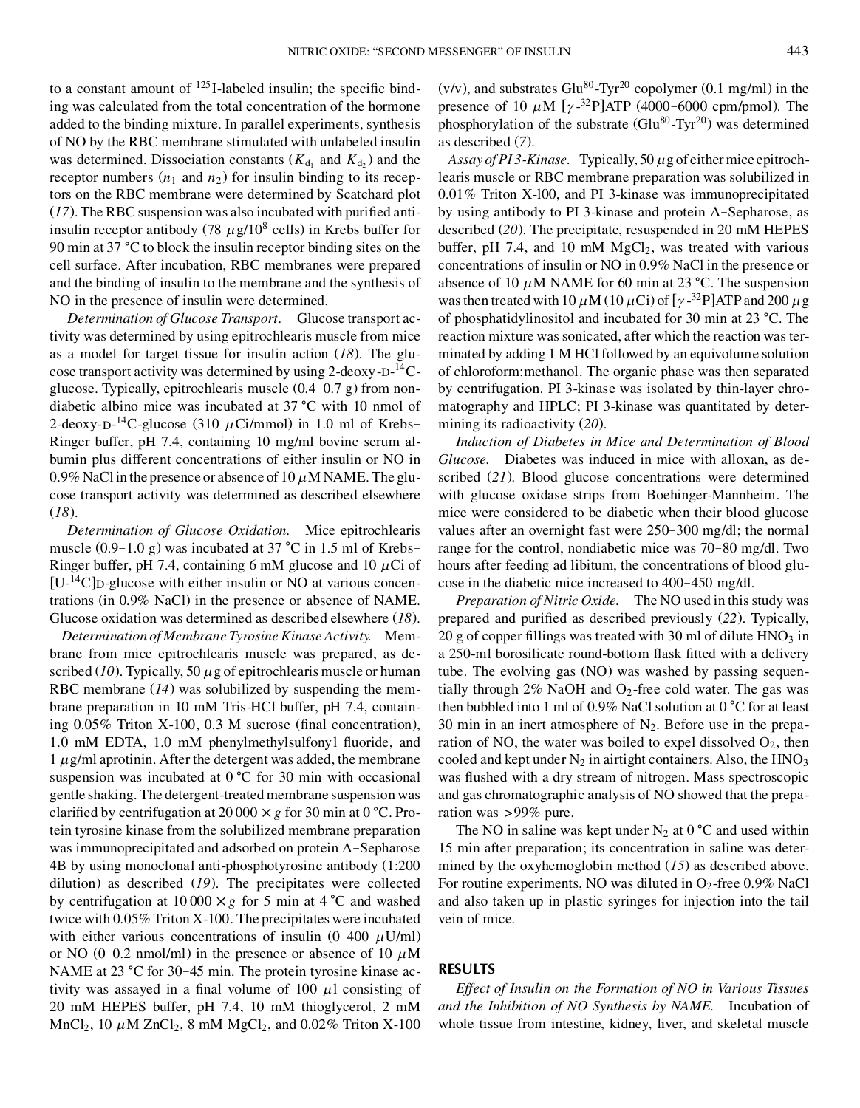to a constant amount of  $^{125}$ I-labeled insulin; the specific binding was calculated from the total concentration of the hormone added to the binding mixture. In parallel experiments, synthesis of NO by the RBC membrane stimulated with unlabeled insulin was determined. Dissociation constants  $(K_{d_1}$  and  $K_{d_2})$  and the receptor numbers  $(n_1 \text{ and } n_2)$  for insulin binding to its receptors on the RBC membrane were determined by Scatchard plot  $(17)$ . The RBC suspension was also incubated with purified antiinsulin receptor antibody (78  $\mu$ g/10<sup>8</sup> cells) in Krebs buffer for 90 min at 37  $^{\circ}$ C to block the insulin receptor binding sites on the cell surface. After incubation, RBC membranes were prepared and the binding of insulin to the membrane and the synthesis of NO in the presence of insulin were determined.

*Determination of Glucose Transport.* Glucose transport activity was determined by using epitrochlearis muscle from mice as a model for target tissue for insulin action (*18*). The glucose transport activity was determined by using 2-deoxy- $D^{-14}C$ glucose. Typically, epitrochlearis muscle (0.4–0.7 g) from nondiabetic albino mice was incubated at  $37 \degree C$  with 10 nmol of 2-deoxy-D-<sup>14</sup>C-glucose (310  $\mu$ Ci/mmol) in 1.0 ml of Krebs-Ringer buffer, pH 7.4, containing 10 mg/ml bovine serum albumin plus different concentrations of either insulin or NO in 0.9% NaCl in the presence or absence of  $10 \mu$ M NAME. The glucose transport activity was determined as described elsewhere (*18*).

*Determination of Glucose Oxidation.* Mice epitrochlearis muscle  $(0.9-1.0 \text{ g})$  was incubated at 37  $^{\circ}$ C in 1.5 ml of Krebs– Ringer buffer, pH 7.4, containing 6 mM glucose and 10  $\mu$ Ci of  $[U<sup>-14</sup>C]$ D-glucose with either insulin or NO at various concentrations (in 0.9% NaCl) in the presence or absence of NAME. Glucose oxidation was determined as described elsewhere (*18*).

*Determination of Membrane Tyrosine Kinase Activity.* Membrane from mice epitrochlearis muscle was prepared, as described  $(10)$ . Typically, 50  $\mu$  g of epitrochlearis muscle or human RBC membrane (*14*) was solubilized by suspending the membrane preparation in 10 mM Tris-HCl buffer, pH 7.4, containing  $0.05\%$  Triton X-100, 0.3 M sucrose (final concentration), 1.0 mM EDTA, 1.0 mM phenylmethylsulfonyl fluoride, and  $1 \mu$ g/ml aprotinin. After the detergent was added, the membrane suspension was incubated at  $0^{\circ}C$  for 30 min with occasional gentle shaking. The detergent-treated membrane suspension was clarified by centrifugation at  $20000 \times g$  for 30 min at 0 °C. Protein tyrosine kinase from the solubilized membrane preparation was immunoprecipitated and adsorbed on protein A–Sepharose 4B by using monoclonal anti-phosphotyrosine antibody (1:200 dilution) as described (*19*). The precipitates were collected by centrifugation at 10 000  $\times$  *g* for 5 min at 4 °C and washed twice with 0.05% Triton X-100. The precipitates were incubated with either various concentrations of insulin  $(0-400 \mu U/ml)$ or NO (0-0.2 nmol/ml) in the presence or absence of 10  $\mu$ M NAME at 23  $\degree$ C for 30-45 min. The protein tyrosine kinase activity was assayed in a final volume of  $100 \mu l$  consisting of 20 mM HEPES buffer, pH 7.4, 10 mM thioglycerol, 2 mM  $MnCl<sub>2</sub>$ , 10  $\mu$ M ZnCl<sub>2</sub>, 8 mM MgCl<sub>2</sub>, and 0.02% Triton X-100 (v/v), and substrates  $Glu^{80}$ -Tyr<sup>20</sup> copolymer (0.1 mg/ml) in the presence of 10  $\mu$ M [ $\gamma$ -<sup>32</sup>P]ATP (4000–6000 cpm/pmol). The phosphorylation of the substrate  $(Glu^{80} - Tyr^{20})$  was determined as described (*7*).

*Assay of PI 3-Kinase.* Typically, 50 *l*g of either mice epitrochlearis muscle or RBC membrane preparation was solubilized in 0.01% Triton X-l00, and PI 3-kinase was immunoprecipitated by using antibody to PI 3-kinase and protein A–Sepharose, as described (*20*). The precipitate, resuspended in 20 mM HEPES buffer, pH 7.4, and 10 mM  $MgCl<sub>2</sub>$ , was treated with various concentrations of insulin or NO in 0.9% NaCl in the presence or absence of 10  $\mu$ M NAME for 60 min at 23 °C. The suspension was then treated with  $10 \mu$ M ( $10 \mu$ Ci) of [ $\gamma$ -<sup>32</sup>P]ATP and 200  $\mu$  g of phosphatidylinositol and incubated for 30 min at 23 °C. The reaction mixture was sonicated, after which the reaction was terminated by adding 1 M HCl followed by an equivolume solution of chloroform:methanol. The organic phase was then separated by centrifugation. PI 3-kinase was isolated by thin-layer chromatography and HPLC; PI 3-kinase was quantitated by determining its radioactivity (*20*).

*Induction of Diabetes in Mice and Determination of Blood Glucose.* Diabetes was induced in mice with alloxan, as described (*21*). Blood glucose concentrations were determined with glucose oxidase strips from Boehinger-Mannheim. The mice were considered to be diabetic when their blood glucose values after an overnight fast were 250–300 mg/dl; the normal range for the control, nondiabetic mice was 70–80 mg/dl. Two hours after feeding ad libitum, the concentrations of blood glucose in the diabetic mice increased to 400–450 mg/dl.

*Preparation of Nitric Oxide.* The NO used in this study was prepared and purified as described previously (22). Typically, 20 g of copper fillings was treated with 30 ml of dilute  $HNO<sub>3</sub>$  in a 250-ml borosilicate round-bottom flask fitted with a delivery tube. The evolving gas (NO) was washed by passing sequentially through 2% NaOH and  $O_2$ -free cold water. The gas was then bubbled into 1 ml of 0.9% NaCl solution at  $0^{\circ}$ C for at least 30 min in an inert atmosphere of  $N_2$ . Before use in the preparation of NO, the water was boiled to expel dissolved  $O_2$ , then cooled and kept under  $N_2$  in airtight containers. Also, the  $HNO_3$ was flushed with a dry stream of nitrogen. Mass spectroscopic and gas chromatographic analysis of NO showed that the preparation was >99% pure.

The NO in saline was kept under  $N_2$  at 0 °C and used within 15 min after preparation; its concentration in saline was determined by the oxyhemoglobin method (*15*) as described above. For routine experiments, NO was diluted in  $O_2$ -free 0.9% NaCl and also taken up in plastic syringes for injection into the tail vein of mice.

#### **RESULTS**

*Effect of Insulin on the Formation of NO in Various Tissues and the Inhibition of NO Synthesis by NAME.* Incubation of whole tissue from intestine, kidney, liver, and skeletal muscle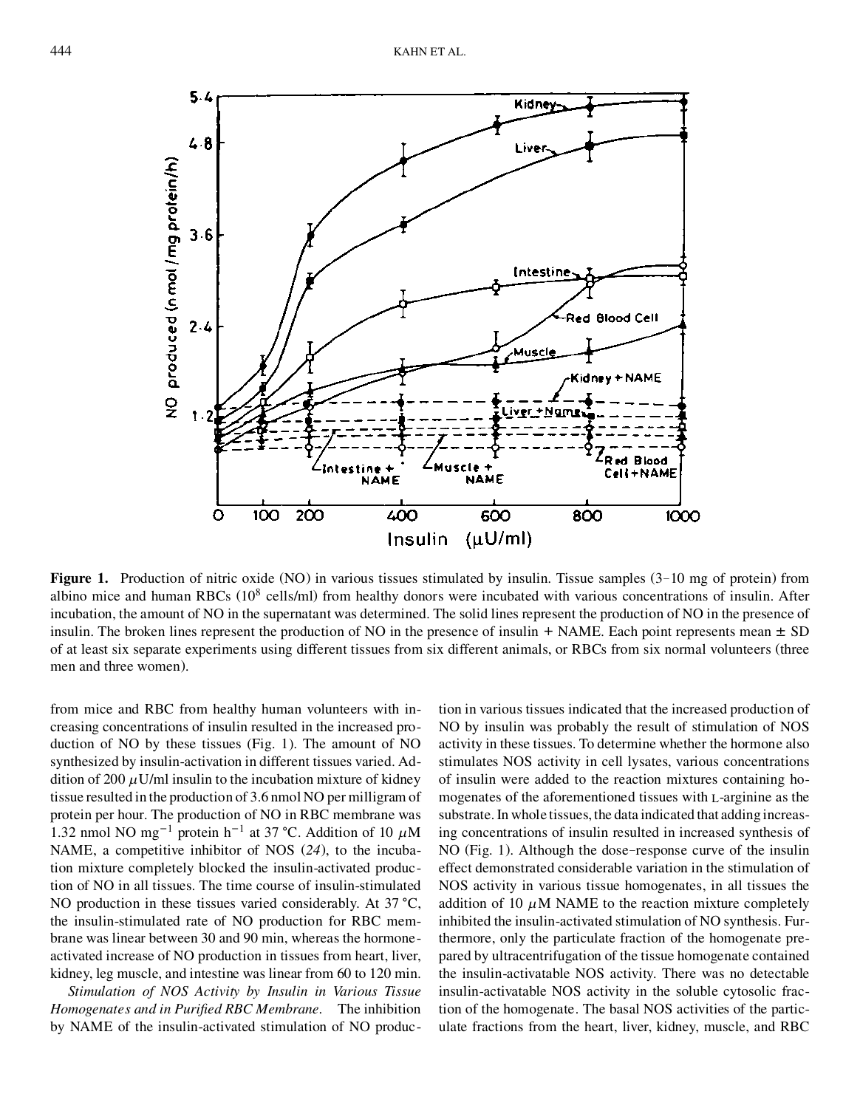

**Figure 1.** Production of nitric oxide (NO) in various tissues stimulated by insulin. Tissue samples (3–10 mg of protein) from albino mice and human RBCs (10<sup>8</sup> cells/ml) from healthy donors were incubated with various concentrations of insulin. After incubation, the amount of NO in the supernatant was determined. The solid lines represent the production of NO in the presence of insulin. The broken lines represent the production of NO in the presence of insulin + NAME. Each point represents mean  $\pm$  SD of at least six separate experiments using different tissues from six different animals, or RBCs from six normal volunteers (three men and three women).

from mice and RBC from healthy human volunteers with increasing concentrations of insulin resulted in the increased production of NO by these tissues (Fig. 1). The amount of NO synthesized by insulin-activation in different tissues varied. Addition of 200  $\mu$ U/ml insulin to the incubation mixture of kidney tissue resulted in the production of 3.6 nmol NO per milligram of protein per hour. The production of NO in RBC membrane was 1.32 nmol NO mg<sup>-1</sup> protein h<sup>-1</sup> at 37 °C. Addition of 10  $\mu$ M NAME, a competitive inhibitor of NOS (*24*), to the incubation mixture completely blocked the insulin-activated production of NO in all tissues. The time course of insulin-stimulated NO production in these tissues varied considerably. At  $37 \text{ °C}$ , the insulin-stimulated rate of NO production for RBC membrane was linear between 30 and 90 min, whereas the hormoneactivated increase of NO production in tissues from heart, liver, kidney, leg muscle, and intestine was linear from 60 to 120 min.

*Stimulation of NOS Activity by Insulin in Various Tissue Homogenates and in Puried RBC Membrane.* The inhibition by NAME of the insulin-activated stimulation of NO production in various tissues indicated that the increased production of NO by insulin was probably the result of stimulation of NOS activity in these tissues. To determine whether the hormone also stimulates NOS activity in cell lysates, various concentrations of insulin were added to the reaction mixtures containing homogenates of the aforementioned tissues with L-arginine as the substrate. In whole tissues, the data indicated that addingincreasing concentrations of insulin resulted in increased synthesis of NO (Fig. 1). Although the dose–response curve of the insulin effect demonstrated considerable variation in the stimulation of NOS activity in various tissue homogenates, in all tissues the addition of 10  $\mu$ M NAME to the reaction mixture completely inhibited the insulin-activated stimulation of NO synthesis. Furthermore, only the particulate fraction of the homogenate prepared by ultracentrifugation of the tissue homogenate contained the insulin-activatable NOS activity. There was no detectable insulin-activatable NOS activity in the soluble cytosolic fraction of the homogenate. The basal NOS activities of the particulate fractions from the heart, liver, kidney, muscle, and RBC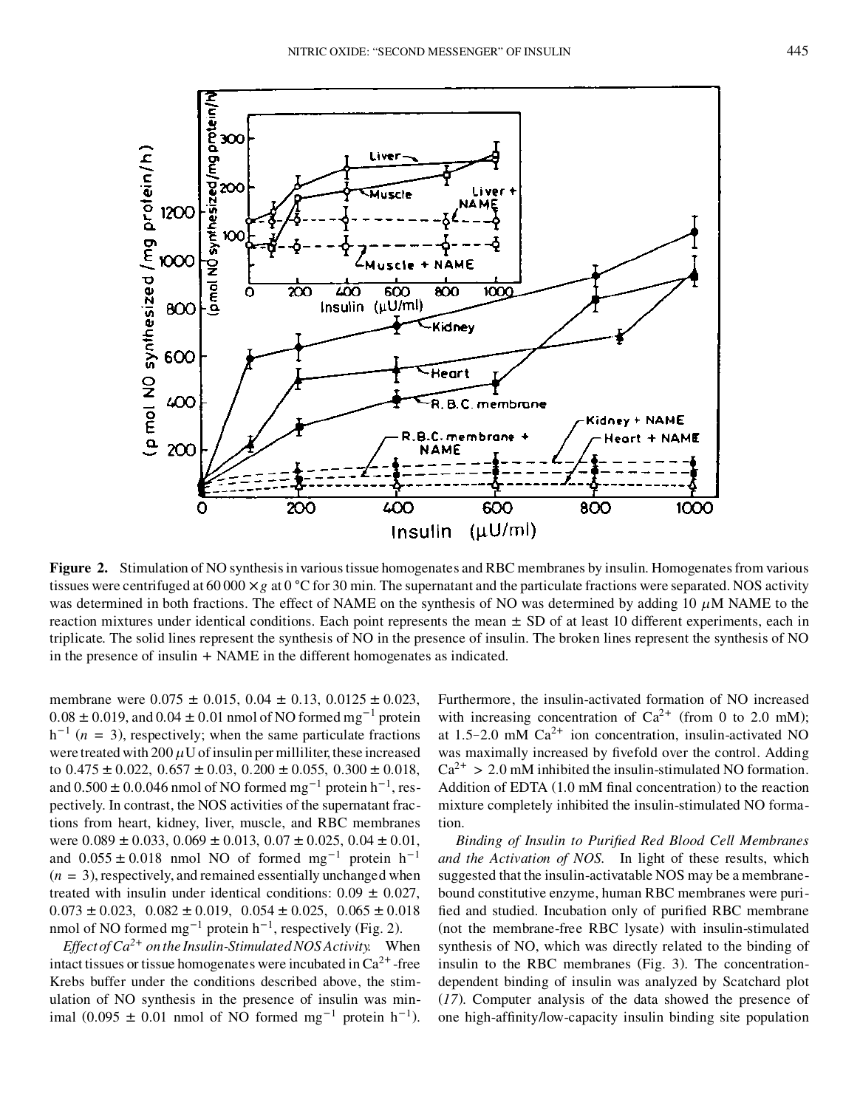

**Figure 2.** Stimulation of NO synthesis in various tissue homogenates and RBC membranes by insulin. Homogenates from various tissues were centrifuged at 60 000  $\times$  *g* at 0  $\degree$ C for 30 min. The supernatant and the particulate fractions were separated. NOS activity was determined in both fractions. The effect of NAME on the synthesis of NO was determined by adding 10  $\mu$ M NAME to the reaction mixtures under identical conditions. Each point represents the mean  $\pm$  SD of at least 10 different experiments, each in triplicate. The solid lines represent the synthesis of NO in the presence of insulin. The broken lines represent the synthesis of NO in the presence of insulin + NAME in the different homogenates as indicated.

membrane were  $0.075 \pm 0.015$ ,  $0.04 \pm 0.13$ ,  $0.0125 \pm 0.023$ ,  $0.08 \pm 0.019$ , and  $0.04 \pm 0.01$  nmol of NO formed mg<sup>-1</sup> protein  $h^{-1}$  ( $n = 3$ ), respectively; when the same particulate fractions were treated with 200  $\mu$ U of insulin per milliliter, these increased to  $0.475 \pm 0.022$ ,  $0.657 \pm 0.03$ ,  $0.200 \pm 0.055$ ,  $0.300 \pm 0.018$ , and  $0.500 \pm 0.0046$  nmol of NO formed mg<sup>-1</sup> protein h<sup>-1</sup>, respectively. In contrast, the NOS activities of the supernatant fractions from heart, kidney, liver, muscle, and RBC membranes were  $0.089 \pm 0.033$ ,  $0.069 \pm 0.013$ ,  $0.07 \pm 0.025$ ,  $0.04 \pm 0.01$ , and  $0.055 \pm 0.018$  nmol NO of formed mg<sup>-1</sup> protein h<sup>-1</sup>  $(n = 3)$ , respectively, and remained essentially unchanged when treated with insulin under identical conditions:  $0.09 \pm 0.027$ ,  $0.073 \pm 0.023$ ,  $0.082 \pm 0.019$ ,  $0.054 \pm 0.025$ ,  $0.065 \pm 0.018$ nmol of NO formed  $mg^{-1}$  protein  $h^{-1}$ , respectively (Fig. 2).

*Effectof Ca2*<sup>+</sup> *on the Insulin-Stimulated NOS Activity.* When intact tissues or tissue homogenates were incubated in  $Ca^{2+}$ -free Krebs buffer under the conditions described above, the stimulation of NO synthesis in the presence of insulin was minimal (0.095  $\pm$  0.01 nmol of NO formed mg<sup>-1</sup> protein h<sup>-1</sup>).

Furthermore, the insulin-activated formation of NO increased with increasing concentration of  $Ca^{2+}$  (from 0 to 2.0 mM); at 1.5–2.0 mM  $Ca^{2+}$  ion concentration, insulin-activated NO was maximally increased by fivefold over the control. Adding  $Ca^{2+} > 2.0$  mM inhibited the insulin-stimulated NO formation. Addition of EDTA  $(1.0 \text{ mM final concentration})$  to the reaction mixture completely inhibited the insulin-stimulated NO formation.

*Binding of Insulin to Puried Red Blood Cell Membranes and the Activation of NOS.* In light of these results, which suggested that the insulin-activatable NOS may be a membranebound constitutive enzyme, human RBC membranes were puri fied and studied. Incubation only of purified RBC membrane (not the membrane-free RBC lysate) with insulin-stimulated synthesis of NO, which was directly related to the binding of insulin to the RBC membranes (Fig. 3). The concentrationdependent binding of insulin was analyzed by Scatchard plot (*17*). Computer analysis of the data showed the presence of one high-affinity/low-capacity insulin binding site population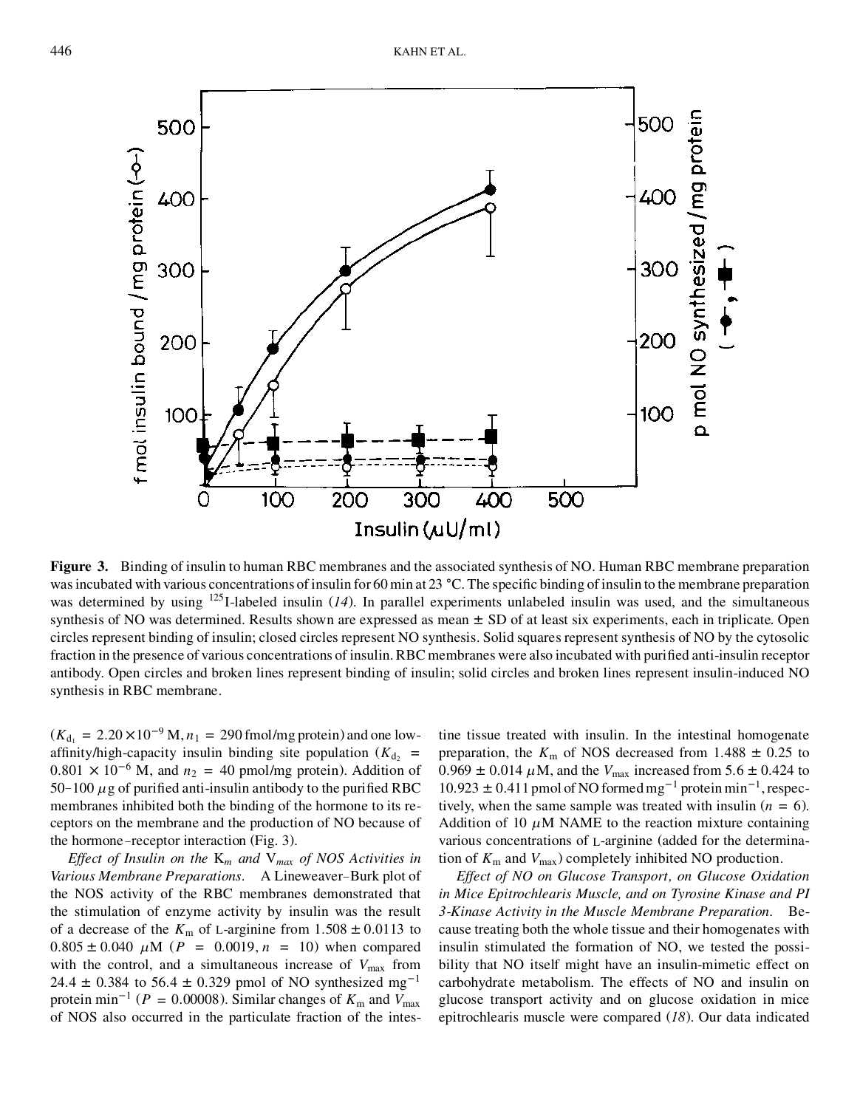

**Figure 3.** Binding of insulin to human RBC membranes and the associated synthesis of NO. Human RBC membrane preparation was incubated with various concentrations of insulin for 60 min at 23 °C. The specific binding of insulin to the membrane preparation was determined by using <sup>125</sup>I-labeled insulin (*14*). In parallel experiments unlabeled insulin was used, and the simultaneous synthesis of NO was determined. Results shown are expressed as mean  $\pm$  SD of at least six experiments, each in triplicate. Open circles represent binding of insulin; closed circles represent NO synthesis. Solid squares represent synthesis of NO by the cytosolic fraction in the presence of various concentrations of insulin. RBC membranes were also incubated with purified anti-insulin receptor antibody. Open circles and broken lines represent binding of insulin; solid circles and broken lines represent insulin-induced NO synthesis in RBC membrane.

 $(K_{d_1} = 2.20 \times 10^{-9} \text{ M}, n_1 = 290 \text{ fmol/mg protein})$  and one lowaffinity/high-capacity insulin binding site population  $(K_{d<sub>2</sub> =$  $0.801 \times 10^{-6}$  M, and  $n_2 = 40$  pmol/mg protein). Addition of  $50-100 \mu$ g of purified anti-insulin antibody to the purified RBC membranes inhibited both the binding of the hormone to its receptors on the membrane and the production of NO because of the hormone –receptor interaction (Fig. 3).

*Effect of Insulin on the* K*<sup>m</sup> and* V*max of NOS Activities in Various Membrane Preparations.* A Lineweaver–Burk plot of the NOS activity of the RBC membranes demonstrated that the stimulation of enzyme activity by insulin was the result of a decrease of the  $K_{\text{m}}$  of L-arginine from  $1.508 \pm 0.0113$  to  $0.805 \pm 0.040 \mu M$  ( $P = 0.0019$ ,  $n = 10$ ) when compared with the control, and a simultaneous increase of  $V_{\text{max}}$  from 24.4  $\pm$  0.384 to 56.4  $\pm$  0.329 pmol of NO synthesized mg<sup>-1</sup> protein min<sup>-1</sup> ( $P = 0.00008$ ). Similar changes of  $K<sub>m</sub>$  and  $V<sub>max</sub>$ of NOS also occurred in the particulate fraction of the intestine tissue treated with insulin. In the intestinal homogenate preparation, the  $K<sub>m</sub>$  of NOS decreased from 1.488  $\pm$  0.25 to  $0.969 \pm 0.014 \,\mu M$ , and the  $V_{\text{max}}$  increased from 5.6  $\pm$  0.424 to  $10.923 \pm 0.411$  pmol of NO formed mg<sup>-1</sup> protein min<sup>-1</sup>, respectively, when the same sample was treated with insulin  $(n = 6)$ . Addition of 10  $\mu$ M NAME to the reaction mixture containing various concentrations of L-arginine (added for the determination of  $K_{\rm m}$  and  $V_{\rm max}$ ) completely inhibited NO production.

*Effect of NO on Glucose Transport, on Glucose Oxidation in Mice Epitrochlearis Muscle, and on Tyrosine Kinase and PI 3-Kinase Activity in the Muscle Membrane Preparation.* Because treating both the whole tissue and their homogenates with insulin stimulated the formation of NO, we tested the possibility that NO itself might have an insulin-mimetic effect on carbohydrate metabolism. The effects of NO and insulin on glucose transport activity and on glucose oxidation in mice epitrochlearis muscle were compared (*18*). Our data indicated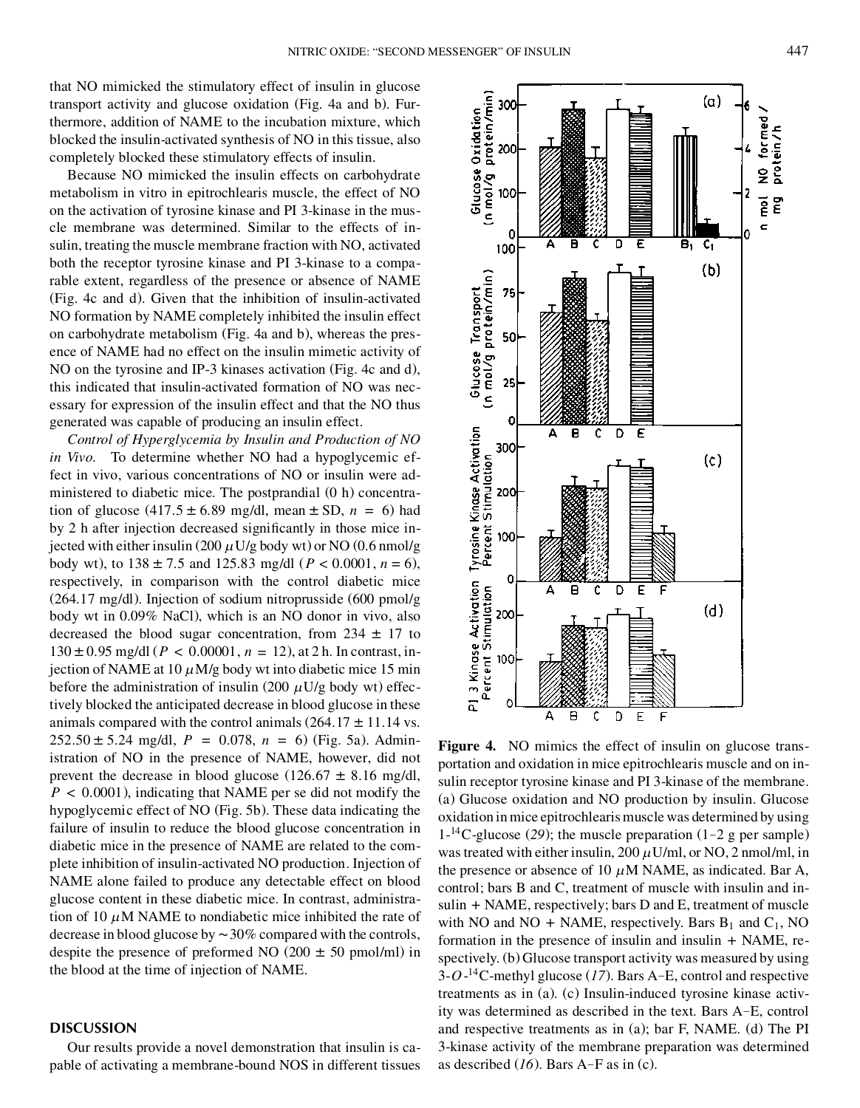that NO mimicked the stimulatory effect of insulin in glucose transport activity and glucose oxidation (Fig. 4a and b). Furthermore, addition of NAME to the incubation mixture, which blocked the insulin-activated synthesis of NO in this tissue, also completely blocked these stimulatory effects of insulin.

Because NO mimicked the insulin effects on carbohydrate metabolism in vitro in epitrochlearis muscle, the effect of NO on the activation of tyrosine kinase and PI 3-kinase in the muscle membrane was determined. Similar to the effects of insulin, treating the muscle membrane fraction with NO, activated both the receptor tyrosine kinase and PI 3-kinase to a comparable extent, regardless of the presence or absence of NAME (Fig. 4c and d). Given that the inhibition of insulin-activated NO formation by NAME completely inhibited the insulin effect on carbohydrate metabolism (Fig. 4a and b), whereas the presence of NAME had no effect on the insulin mimetic activity of NO on the tyrosine and IP-3 kinases activation (Fig. 4c and d), this indicated that insulin-activated formation of NO was necessary for expression of the insulin effect and that the NO thus generated was capable of producing an insulin effect.

*Control of Hyperglycemia by Insulin and Production of NO in Vivo.* To determine whether NO had a hypoglycemic effect in vivo, various concentrations of NO or insulin were administered to diabetic mice. The postprandial (0 h) concentration of glucose  $(417.5 \pm 6.89 \text{ mg/dl}, \text{mean} \pm SD, n = 6)$  had by 2 h after injection decreased significantly in those mice injected with either insulin (200  $\mu$  U/g body wt) or NO (0.6 nmol/g body wt), to  $138 \pm 7.5$  and  $125.83$  mg/dl ( $P < 0.0001$ ,  $n = 6$ ), respectively, in comparison with the control diabetic mice (264.17 mg/dl). Injection of sodium nitroprusside (600 pmol/g body wt in 0.09% NaCl), which is an NO donor in vivo, also decreased the blood sugar concentration, from  $234 \pm 17$  to  $130 \pm 0.95$  mg/dl ( $P < 0.00001$ ,  $n = 12$ ), at 2 h. In contrast, injection of NAME at 10  $\mu$ M/g body wt into diabetic mice 15 min before the administration of insulin (200  $\mu$ U/g body wt) effectively blocked the anticipated decrease in blood glucose in these animals compared with the control animals  $(264.17 \pm 11.14 \text{ vs.}$  $252.50 \pm 5.24$  mg/dl,  $P = 0.078$ ,  $n = 6$ ) (Fig. 5a). Administration of NO in the presence of NAME, however, did not prevent the decrease in blood glucose (126.67  $\pm$  8.16 mg/dl, *P* < 0.0001), indicating that NAME per se did not modify the hypoglycemic effect of NO (Fig. 5b). These data indicating the failure of insulin to reduce the blood glucose concentration in diabetic mice in the presence of NAME are related to the complete inhibition of insulin-activated NO production. Injection of NAME alone failed to produce any detectable effect on blood glucose content in these diabetic mice. In contrast, administration of 10  $\mu$ M NAME to nondiabetic mice inhibited the rate of decrease in blood glucose by  $\sim$  30% compared with the controls, despite the presence of preformed NO (200  $\pm$  50 pmol/ml) in the blood at the time of injection of NAME.

# **DISCUSSION**

Our results provide a novel demonstration that insulin is capable of activating a membrane-bound NOS in different tissues Figure 4. NO mimics the effect of insulin on glucose transportation and oxidation in mice epitrochlearis muscle and on insulin receptor tyrosine kinase and PI 3-kinase of the membrane. (a) Glucose oxidation and NO production by insulin. Glucose oxidation in mice epitrochlearis muscle was determined by using  $1^{-14}$ C-glucose (29); the muscle preparation (1–2 g per sample) was treated with either insulin,  $200 \mu$ U/ml, or NO, 2 nmol/ml, in the presence or absence of 10  $\mu$ M NAME, as indicated. Bar A, control; bars B and C, treatment of muscle with insulin and insulin + NAME, respectively; bars D and E, treatment of muscle with NO and NO + NAME, respectively. Bars  $B_1$  and  $C_1$ , NO formation in the presence of insulin and insulin + NAME, respectively. (b) Glucose transport activity was measured by using 3-*O*-<sup>14</sup>C-methyl glucose (*17*). Bars A–E, control and respective treatments as in (a). (c) Insulin-induced tyrosine kinase activity was determined as described in the text. Bars A–E, control and respective treatments as in (a); bar F, NAME. (d) The PI 3-kinase activity of the membrane preparation was determined as described (*16*). Bars A–F as in (c).

D  $\mathsf{E}% _{0}$  F

А Β ¢



300

 $(a)$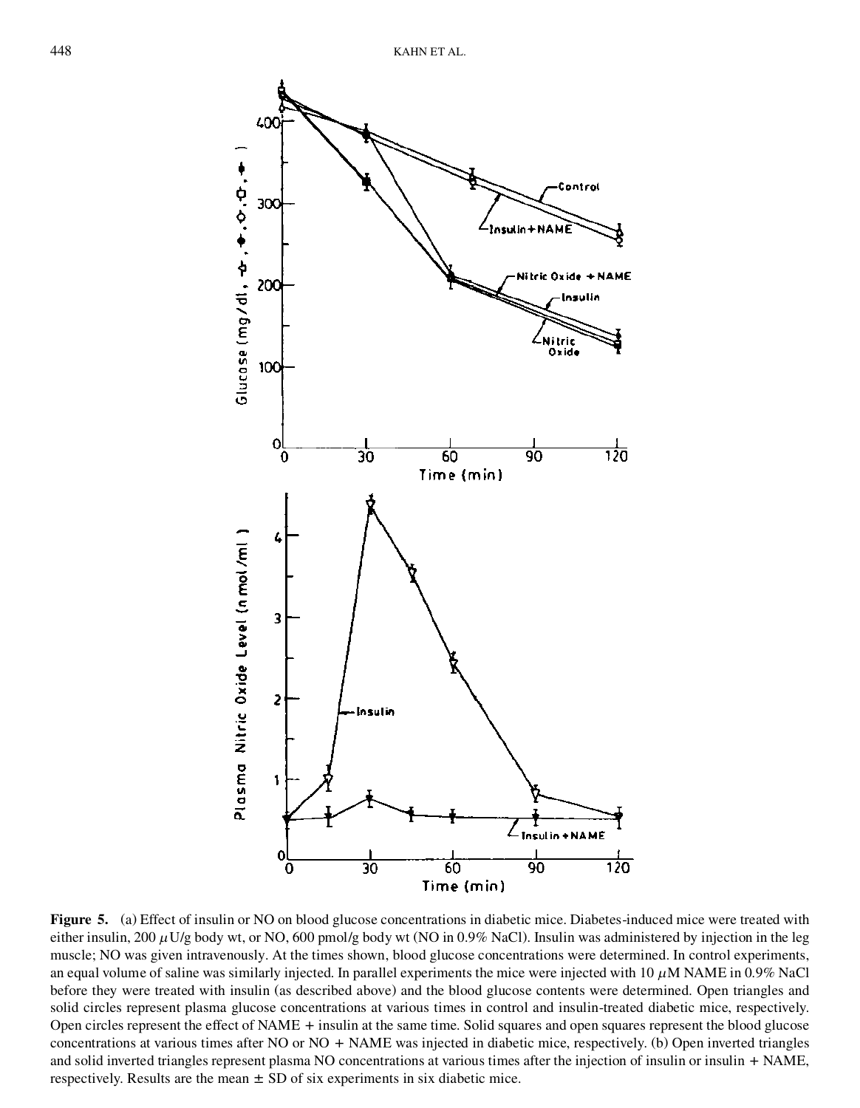

Figure 5. (a) Effect of insulin or NO on blood glucose concentrations in diabetic mice. Diabetes-induced mice were treated with either insulin, 200  $\mu$ U/g body wt, or NO, 600 pmol/g body wt (NO in 0.9% NaCl). Insulin was administered by injection in the leg muscle; NO was given intravenously. At the times shown, blood glucose concentrations were determined. In control experiments, an equal volume of saline was similarly injected. In parallel experiments the mice were injected with  $10 \mu M NAME$  in 0.9% NaCl before they were treated with insulin (as described above) and the blood glucose contents were determined. Open triangles and solid circles represent plasma glucose concentrations at various times in control and insulin-treated diabetic mice, respectively. Open circles represent the effect of NAME + insulin at the same time. Solid squares and open squares represent the blood glucose concentrations at various times after NO or NO + NAME was injected in diabetic mice, respectively. (b) Open inverted triangles and solid inverted triangles represent plasma NO concentrations at various times after the injection of insulin or insulin + NAME, respectively. Results are the mean  $\pm$  SD of six experiments in six diabetic mice.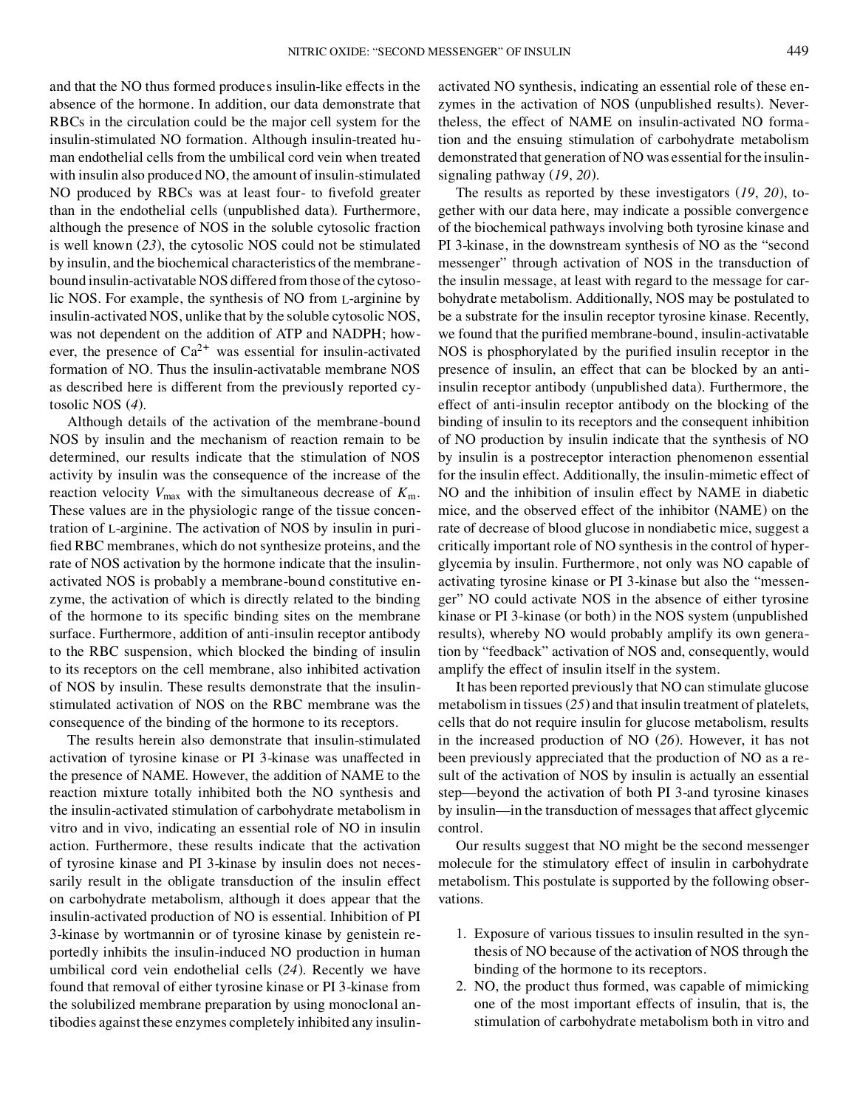and that the NO thus formed produces insulin-like effects in the absence of the hormone. In addition, our data demonstrate that RBCs in the circulation could be the major cell system for the insulin-stimulated NO formation. Although insulin-treated human endothelial cells from the umbilical cord vein when treated with insulin also produced NO, the amount of insulin-stimulated NO produced by RBCs was at least four- to fivefold greater than in the endothelial cells (unpublished data). Furthermore, although the presence of NOS in the soluble cytosolic fraction is well known (*23*), the cytosolic NOS could not be stimulated by insulin, and the biochemical characteristics of the membranebound insulin-activatable NOS differed from those of the cytosolic NOS. For example, the synthesis of NO from L-arginine by insulin-activated NOS, unlike that by the soluble cytosolic NOS, was not dependent on the addition of ATP and NADPH; however, the presence of  $Ca^{2+}$  was essential for insulin-activated formation of NO. Thus the insulin-activatable membrane NOS as described here is different from the previously reported cytosolic NOS (*4*).

Although details of the activation of the membrane-bound NOS by insulin and the mechanism of reaction remain to be determined, our results indicate that the stimulation of NOS activity by insulin was the consequence of the increase of the reaction velocity  $V_{\text{max}}$  with the simultaneous decrease of  $K_{\text{m}}$ . These values are in the physiologic range of the tissue concentration of L-arginine. The activation of NOS by insulin in puri fied RBC membranes, which do not synthesize proteins, and the rate of NOS activation by the hormone indicate that the insulinactivated NOS is probably a membrane-bound constitutive enzyme, the activation of which is directly related to the binding of the hormone to its specific binding sites on the membrane surface. Furthermore, addition of anti-insulin receptor antibody to the RBC suspension, which blocked the binding of insulin to its receptors on the cell membrane, also inhibited activation of NOS by insulin. These results demonstrate that the insulinstimulated activation of NOS on the RBC membrane was the consequence of the binding of the hormone to its receptors.

The results herein also demonstrate that insulin-stimulated activation of tyrosine kinase or PI 3-kinase was unaffected in the presence of NAME. However, the addition of NAME to the reaction mixture totally inhibited both the NO synthesis and the insulin-activated stimulation of carbohydrate metabolism in vitro and in vivo, indicating an essential role of NO in insulin action. Furthermore, these results indicate that the activation of tyrosine kinase and PI 3-kinase by insulin does not necessarily result in the obligate transduction of the insulin effect on carbohydrate metabolism, although it does appear that the insulin-activated production of NO is essential. Inhibition of PI 3-kinase by wortmannin or of tyrosine kinase by genistein reportedly inhibits the insulin-induced NO production in human umbilical cord vein endothelial cells (*24*). Recently we have found that removal of either tyrosine kinase or PI 3-kinase from the solubilized membrane preparation by using monoclonal antibodies against these enzymes completely inhibited any insulinactivated NO synthesis, indicating an essential role of these enzymes in the activation of NOS (unpublished results). Nevertheless, the effect of NAME on insulin-activated NO formation and the ensuing stimulation of carbohydrate metabolism demonstrated that generation of NO was essential for the insulinsignaling pathway (*19*, *20*).

The results as reported by these investigators (*19*, *20*), together with our data here, may indicate a possible convergence of the biochemical pathways involving both tyrosine kinase and PI 3-kinase, in the downstream synthesis of NO as the "second messenger" through activation of NOS in the transduction of the insulin message, at least with regard to the message for carbohydrate metabolism. Additionally, NOS may be postulated to be a substrate for the insulin receptor tyrosine kinase. Recently, we found that the purified membrane-bound, insulin-activatable NOS is phosphorylated by the purified insulin receptor in the presence of insulin, an effect that can be blocked by an antiinsulin receptor antibody (unpublished data). Furthermore, the effect of anti-insulin receptor antibody on the blocking of the binding of insulin to its receptors and the consequent inhibition of NO production by insulin indicate that the synthesis of NO by insulin is a postreceptor interaction phenomenon essential for the insulin effect. Additionally, the insulin-mimetic effect of NO and the inhibition of insulin effect by NAME in diabetic mice, and the observed effect of the inhibitor (NAME) on the rate of decrease of blood glucose in nondiabetic mice, suggest a critically important role of NO synthesis in the control of hyperglycemia by insulin. Furthermore, not only was NO capable of activating tyrosine kinase or PI 3-kinase but also the "messenger" NO could activate NOS in the absence of either tyrosine kinase or PI 3-kinase (or both) in the NOS system (unpublished results), whereby NO would probably amplify its own generation by "feedback" activation of NOS and, consequently, would amplify the effect of insulin itself in the system.

It has been reported previously that NO can stimulate glucose metabolism in tissues (*25*) and that insulin treatment of platelets, cells that do not require insulin for glucose metabolism, results in the increased production of NO (*26*). However, it has not been previously appreciated that the production of NO as a result of the activation of NOS by insulin is actually an essential step—beyond the activation of both PI 3-and tyrosine kinases by insulin—in the transduction of messages that affect glycemic control.

Our results suggest that NO might be the second messenger molecule for the stimulatory effect of insulin in carbohydrate metabolism. This postulate is supported by the following observations.

- 1. Exposure of various tissues to insulin resulted in the synthesis of NO because of the activation of NOS through the binding of the hormone to its receptors.
- 2. NO, the product thus formed, was capable of mimicking one of the most important effects of insulin, that is, the stimulation of carbohydrate metabolism both in vitro and